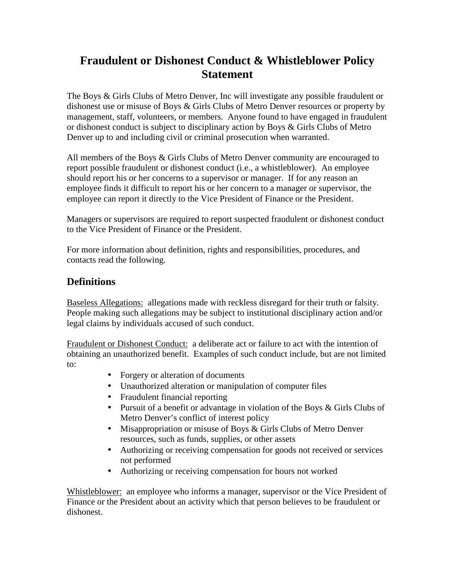# **Fraudulent or Dishonest Conduct & Whistleblower Policy Statement**

The Boys & Girls Clubs of Metro Denver, Inc will investigate any possible fraudulent or dishonest use or misuse of Boys & Girls Clubs of Metro Denver resources or property by management, staff, volunteers, or members. Anyone found to have engaged in fraudulent or dishonest conduct is subject to disciplinary action by Boys & Girls Clubs of Metro Denver up to and including civil or criminal prosecution when warranted.

All members of the Boys & Girls Clubs of Metro Denver community are encouraged to report possible fraudulent or dishonest conduct (i.e., a whistleblower). An employee should report his or her concerns to a supervisor or manager. If for any reason an employee finds it difficult to report his or her concern to a manager or supervisor, the employee can report it directly to the Vice President of Finance or the President.

Managers or supervisors are required to report suspected fraudulent or dishonest conduct to the Vice President of Finance or the President.

For more information about definition, rights and responsibilities, procedures, and contacts read the following.

### **Definitions**

Baseless Allegations: allegations made with reckless disregard for their truth or falsity. People making such allegations may be subject to institutional disciplinary action and/or legal claims by individuals accused of such conduct.

Fraudulent or Dishonest Conduct: a deliberate act or failure to act with the intention of obtaining an unauthorized benefit. Examples of such conduct include, but are not limited to:

- Forgery or alteration of documents
- Unauthorized alteration or manipulation of computer files
- Fraudulent financial reporting
- Pursuit of a benefit or advantage in violation of the Boys & Girls Clubs of Metro Denver's conflict of interest policy
- Misappropriation or misuse of Boys & Girls Clubs of Metro Denver resources, such as funds, supplies, or other assets
- Authorizing or receiving compensation for goods not received or services not performed
- Authorizing or receiving compensation for hours not worked

Whistleblower: an employee who informs a manager, supervisor or the Vice President of Finance or the President about an activity which that person believes to be fraudulent or dishonest.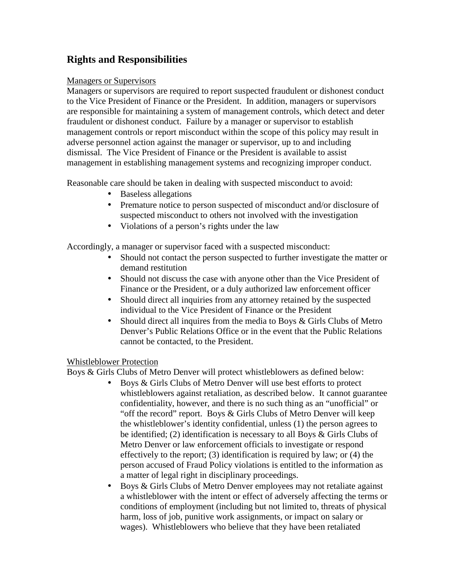## **Rights and Responsibilities**

#### Managers or Supervisors

Managers or supervisors are required to report suspected fraudulent or dishonest conduct to the Vice President of Finance or the President. In addition, managers or supervisors are responsible for maintaining a system of management controls, which detect and deter fraudulent or dishonest conduct. Failure by a manager or supervisor to establish management controls or report misconduct within the scope of this policy may result in adverse personnel action against the manager or supervisor, up to and including dismissal. The Vice President of Finance or the President is available to assist management in establishing management systems and recognizing improper conduct.

Reasonable care should be taken in dealing with suspected misconduct to avoid:

- Baseless allegations
- Premature notice to person suspected of misconduct and/or disclosure of suspected misconduct to others not involved with the investigation
- Violations of a person's rights under the law

Accordingly, a manager or supervisor faced with a suspected misconduct:

- Should not contact the person suspected to further investigate the matter or demand restitution
- Should not discuss the case with anyone other than the Vice President of Finance or the President, or a duly authorized law enforcement officer
- Should direct all inquiries from any attorney retained by the suspected individual to the Vice President of Finance or the President
- Should direct all inquires from the media to Boys & Girls Clubs of Metro Denver's Public Relations Office or in the event that the Public Relations cannot be contacted, to the President.

#### Whistleblower Protection

Boys & Girls Clubs of Metro Denver will protect whistleblowers as defined below:

- Boys & Girls Clubs of Metro Denver will use best efforts to protect whistleblowers against retaliation, as described below. It cannot guarantee confidentiality, however, and there is no such thing as an "unofficial" or "off the record" report. Boys & Girls Clubs of Metro Denver will keep the whistleblower's identity confidential, unless (1) the person agrees to be identified; (2) identification is necessary to all Boys & Girls Clubs of Metro Denver or law enforcement officials to investigate or respond effectively to the report; (3) identification is required by law; or (4) the person accused of Fraud Policy violations is entitled to the information as a matter of legal right in disciplinary proceedings.
- Boys & Girls Clubs of Metro Denver employees may not retaliate against a whistleblower with the intent or effect of adversely affecting the terms or conditions of employment (including but not limited to, threats of physical harm, loss of job, punitive work assignments, or impact on salary or wages). Whistleblowers who believe that they have been retaliated